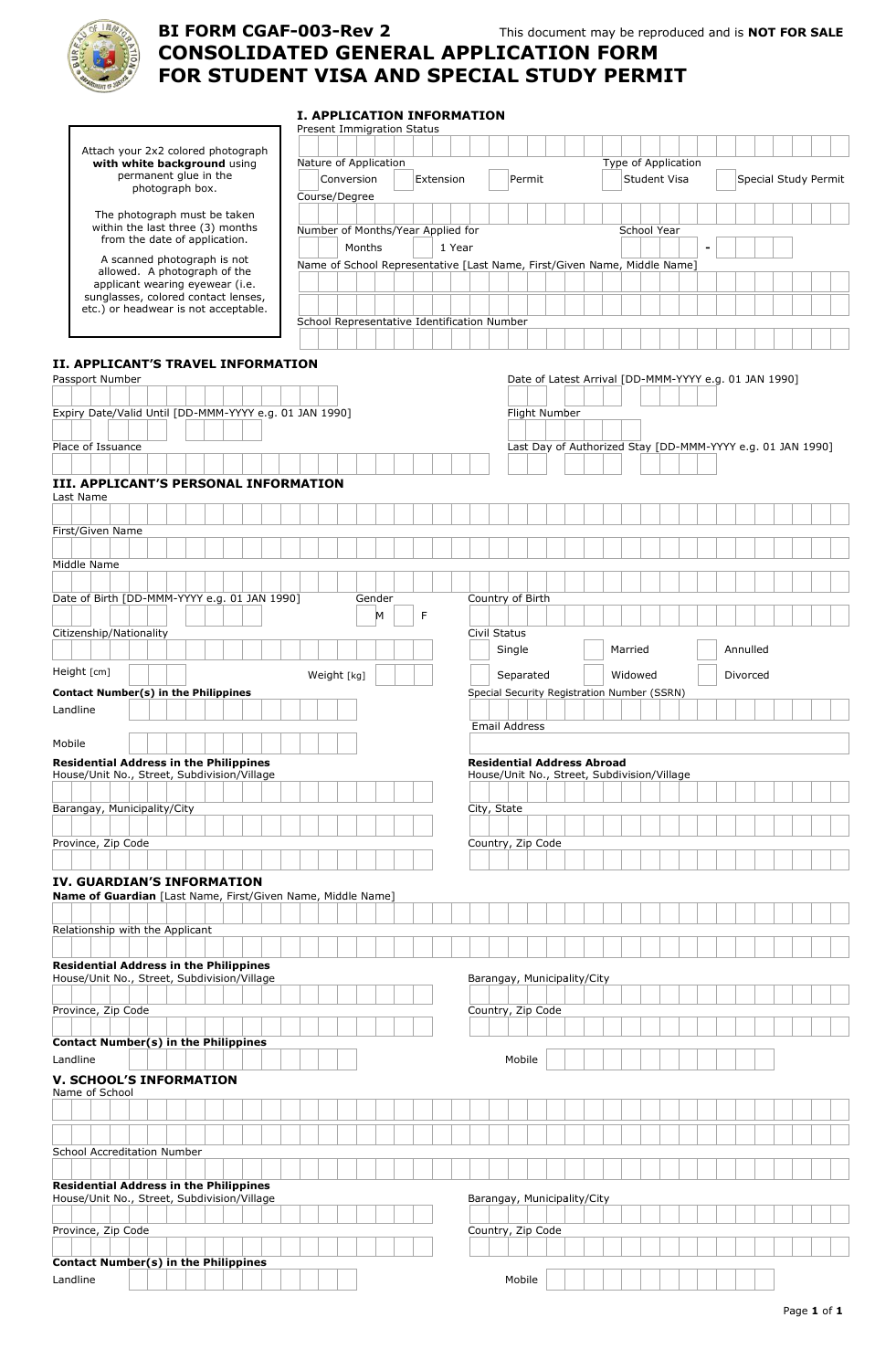

# **BI FORM CGAF CONSOLIDATED GENERAL APPLICATION FORM FOR STUDENT VISA AND SPECIAL STUDY PERMIT VISA AND I. APPLICATION INFORMATION CGAF-003-Rev 2** This document may be reproduced and is **NOT FOR SALE**

|                                                                                              | <b>Present Immigration Status</b>                                        |             |  |   |        |              |  |                                                                                  |                     |                     |  |         |  |                      |  |  |          |  |  |  |
|----------------------------------------------------------------------------------------------|--------------------------------------------------------------------------|-------------|--|---|--------|--------------|--|----------------------------------------------------------------------------------|---------------------|---------------------|--|---------|--|----------------------|--|--|----------|--|--|--|
| Attach your 2x2 colored photograph                                                           |                                                                          |             |  |   |        |              |  |                                                                                  |                     |                     |  |         |  |                      |  |  |          |  |  |  |
| with white background using<br>permanent glue in the                                         | Nature of Application                                                    |             |  |   |        |              |  |                                                                                  |                     | Type of Application |  |         |  |                      |  |  |          |  |  |  |
| photograph box.                                                                              | Conversion<br>Extension                                                  |             |  |   | Permit |              |  |                                                                                  | <b>Student Visa</b> |                     |  |         |  | Special Study Permit |  |  |          |  |  |  |
|                                                                                              | Course/Degree                                                            |             |  |   |        |              |  |                                                                                  |                     |                     |  |         |  |                      |  |  |          |  |  |  |
| The photograph must be taken<br>within the last three (3) months                             |                                                                          |             |  |   |        |              |  |                                                                                  |                     |                     |  |         |  |                      |  |  |          |  |  |  |
| from the date of application.                                                                | Number of Months/Year Applied for                                        |             |  |   |        |              |  |                                                                                  |                     |                     |  |         |  | School Year          |  |  |          |  |  |  |
| A scanned photograph is not                                                                  |                                                                          | Months      |  |   | 1 Year |              |  |                                                                                  |                     |                     |  |         |  |                      |  |  |          |  |  |  |
| allowed. A photograph of the                                                                 | Name of School Representative [Last Name, First/Given Name, Middle Name] |             |  |   |        |              |  |                                                                                  |                     |                     |  |         |  |                      |  |  |          |  |  |  |
| applicant wearing eyewear (i.e.                                                              |                                                                          |             |  |   |        |              |  |                                                                                  |                     |                     |  |         |  |                      |  |  |          |  |  |  |
| sunglasses, colored contact lenses,<br>etc.) or headwear is not acceptable.                  |                                                                          |             |  |   |        |              |  |                                                                                  |                     |                     |  |         |  |                      |  |  |          |  |  |  |
|                                                                                              | School Representative Identification Number                              |             |  |   |        |              |  |                                                                                  |                     |                     |  |         |  |                      |  |  |          |  |  |  |
|                                                                                              |                                                                          |             |  |   |        |              |  |                                                                                  |                     |                     |  |         |  |                      |  |  |          |  |  |  |
|                                                                                              |                                                                          |             |  |   |        |              |  |                                                                                  |                     |                     |  |         |  |                      |  |  |          |  |  |  |
| II. APPLICANT'S TRAVEL INFORMATION<br>Passport Number                                        |                                                                          |             |  |   |        |              |  | Date of Latest Arrival [DD-MMM-YYYY e.g. 01 JAN 1990]                            |                     |                     |  |         |  |                      |  |  |          |  |  |  |
|                                                                                              |                                                                          |             |  |   |        |              |  |                                                                                  |                     |                     |  |         |  |                      |  |  |          |  |  |  |
| Expiry Date/Valid Until [DD-MMM-YYYY e.g. 01 JAN 1990]                                       |                                                                          |             |  |   |        |              |  | Flight Number                                                                    |                     |                     |  |         |  |                      |  |  |          |  |  |  |
|                                                                                              |                                                                          |             |  |   |        |              |  |                                                                                  |                     |                     |  |         |  |                      |  |  |          |  |  |  |
| Place of Issuance                                                                            |                                                                          |             |  |   |        |              |  | Last Day of Authorized Stay [DD-MMM-YYYY e.g. 01 JAN 1990]                       |                     |                     |  |         |  |                      |  |  |          |  |  |  |
|                                                                                              |                                                                          |             |  |   |        |              |  |                                                                                  |                     |                     |  |         |  |                      |  |  |          |  |  |  |
| <b>III. APPLICANT'S PERSONAL INFORMATION</b>                                                 |                                                                          |             |  |   |        |              |  |                                                                                  |                     |                     |  |         |  |                      |  |  |          |  |  |  |
| Last Name                                                                                    |                                                                          |             |  |   |        |              |  |                                                                                  |                     |                     |  |         |  |                      |  |  |          |  |  |  |
|                                                                                              |                                                                          |             |  |   |        |              |  |                                                                                  |                     |                     |  |         |  |                      |  |  |          |  |  |  |
| First/Given Name                                                                             |                                                                          |             |  |   |        |              |  |                                                                                  |                     |                     |  |         |  |                      |  |  |          |  |  |  |
|                                                                                              |                                                                          |             |  |   |        |              |  |                                                                                  |                     |                     |  |         |  |                      |  |  |          |  |  |  |
| Middle Name                                                                                  |                                                                          |             |  |   |        |              |  |                                                                                  |                     |                     |  |         |  |                      |  |  |          |  |  |  |
|                                                                                              |                                                                          |             |  |   |        |              |  | Country of Birth                                                                 |                     |                     |  |         |  |                      |  |  |          |  |  |  |
| Date of Birth [DD-MMM-YYYY e.g. 01 JAN 1990]                                                 |                                                                          | Gender<br>M |  | F |        |              |  |                                                                                  |                     |                     |  |         |  |                      |  |  |          |  |  |  |
| Citizenship/Nationality                                                                      |                                                                          |             |  |   |        | Civil Status |  |                                                                                  |                     |                     |  |         |  |                      |  |  |          |  |  |  |
|                                                                                              |                                                                          |             |  |   |        |              |  | Single                                                                           |                     |                     |  | Married |  |                      |  |  | Annulled |  |  |  |
| Height [cm]                                                                                  |                                                                          |             |  |   |        |              |  |                                                                                  |                     |                     |  |         |  |                      |  |  |          |  |  |  |
|                                                                                              | Weight [kg]                                                              |             |  |   |        |              |  | Separated                                                                        |                     |                     |  | Widowed |  |                      |  |  | Divorced |  |  |  |
| <b>Contact Number(s) in the Philippines</b><br>Landline                                      |                                                                          |             |  |   |        |              |  | Special Security Registration Number (SSRN)                                      |                     |                     |  |         |  |                      |  |  |          |  |  |  |
|                                                                                              |                                                                          |             |  |   |        |              |  |                                                                                  |                     |                     |  |         |  |                      |  |  |          |  |  |  |
|                                                                                              |                                                                          |             |  |   |        |              |  |                                                                                  |                     |                     |  |         |  |                      |  |  |          |  |  |  |
|                                                                                              |                                                                          |             |  |   |        |              |  | Email Address                                                                    |                     |                     |  |         |  |                      |  |  |          |  |  |  |
| Mobile                                                                                       |                                                                          |             |  |   |        |              |  |                                                                                  |                     |                     |  |         |  |                      |  |  |          |  |  |  |
| <b>Residential Address in the Philippines</b><br>House/Unit No., Street, Subdivision/Village |                                                                          |             |  |   |        |              |  | <b>Residential Address Abroad</b><br>House/Unit No., Street, Subdivision/Village |                     |                     |  |         |  |                      |  |  |          |  |  |  |
|                                                                                              |                                                                          |             |  |   |        |              |  |                                                                                  |                     |                     |  |         |  |                      |  |  |          |  |  |  |
| Barangay, Municipality/City                                                                  |                                                                          |             |  |   |        | City, State  |  |                                                                                  |                     |                     |  |         |  |                      |  |  |          |  |  |  |
|                                                                                              |                                                                          |             |  |   |        |              |  |                                                                                  |                     |                     |  |         |  |                      |  |  |          |  |  |  |
| Province, Zip Code                                                                           |                                                                          |             |  |   |        |              |  | Country, Zip Code                                                                |                     |                     |  |         |  |                      |  |  |          |  |  |  |
|                                                                                              |                                                                          |             |  |   |        |              |  |                                                                                  |                     |                     |  |         |  |                      |  |  |          |  |  |  |
| IV. GUARDIAN'S INFORMATION                                                                   |                                                                          |             |  |   |        |              |  |                                                                                  |                     |                     |  |         |  |                      |  |  |          |  |  |  |
| Name of Guardian [Last Name, First/Given Name, Middle Name]                                  |                                                                          |             |  |   |        |              |  |                                                                                  |                     |                     |  |         |  |                      |  |  |          |  |  |  |
|                                                                                              |                                                                          |             |  |   |        |              |  |                                                                                  |                     |                     |  |         |  |                      |  |  |          |  |  |  |
| Relationship with the Applicant                                                              |                                                                          |             |  |   |        |              |  |                                                                                  |                     |                     |  |         |  |                      |  |  |          |  |  |  |
|                                                                                              |                                                                          |             |  |   |        |              |  |                                                                                  |                     |                     |  |         |  |                      |  |  |          |  |  |  |
| <b>Residential Address in the Philippines</b>                                                |                                                                          |             |  |   |        |              |  |                                                                                  |                     |                     |  |         |  |                      |  |  |          |  |  |  |
| House/Unit No., Street, Subdivision/Village                                                  |                                                                          |             |  |   |        |              |  | Barangay, Municipality/City                                                      |                     |                     |  |         |  |                      |  |  |          |  |  |  |
| Province, Zip Code                                                                           |                                                                          |             |  |   |        |              |  | Country, Zip Code                                                                |                     |                     |  |         |  |                      |  |  |          |  |  |  |
|                                                                                              |                                                                          |             |  |   |        |              |  |                                                                                  |                     |                     |  |         |  |                      |  |  |          |  |  |  |
| Contact Number(s) in the Philippines                                                         |                                                                          |             |  |   |        |              |  |                                                                                  |                     |                     |  |         |  |                      |  |  |          |  |  |  |
| Landline                                                                                     |                                                                          |             |  |   |        |              |  | Mobile                                                                           |                     |                     |  |         |  |                      |  |  |          |  |  |  |
| <b>V. SCHOOL'S INFORMATION</b>                                                               |                                                                          |             |  |   |        |              |  |                                                                                  |                     |                     |  |         |  |                      |  |  |          |  |  |  |
| Name of School                                                                               |                                                                          |             |  |   |        |              |  |                                                                                  |                     |                     |  |         |  |                      |  |  |          |  |  |  |
|                                                                                              |                                                                          |             |  |   |        |              |  |                                                                                  |                     |                     |  |         |  |                      |  |  |          |  |  |  |
|                                                                                              |                                                                          |             |  |   |        |              |  |                                                                                  |                     |                     |  |         |  |                      |  |  |          |  |  |  |
| School Accreditation Number                                                                  |                                                                          |             |  |   |        |              |  |                                                                                  |                     |                     |  |         |  |                      |  |  |          |  |  |  |
|                                                                                              |                                                                          |             |  |   |        |              |  |                                                                                  |                     |                     |  |         |  |                      |  |  |          |  |  |  |
| <b>Residential Address in the Philippines</b><br>House/Unit No., Street, Subdivision/Village |                                                                          |             |  |   |        |              |  | Barangay, Municipality/City                                                      |                     |                     |  |         |  |                      |  |  |          |  |  |  |
|                                                                                              |                                                                          |             |  |   |        |              |  |                                                                                  |                     |                     |  |         |  |                      |  |  |          |  |  |  |
| Province, Zip Code                                                                           |                                                                          |             |  |   |        |              |  | Country, Zip Code                                                                |                     |                     |  |         |  |                      |  |  |          |  |  |  |
|                                                                                              |                                                                          |             |  |   |        |              |  |                                                                                  |                     |                     |  |         |  |                      |  |  |          |  |  |  |
| <b>Contact Number(s) in the Philippines</b><br>Landline                                      |                                                                          |             |  |   |        |              |  | Mobile                                                                           |                     |                     |  |         |  |                      |  |  |          |  |  |  |